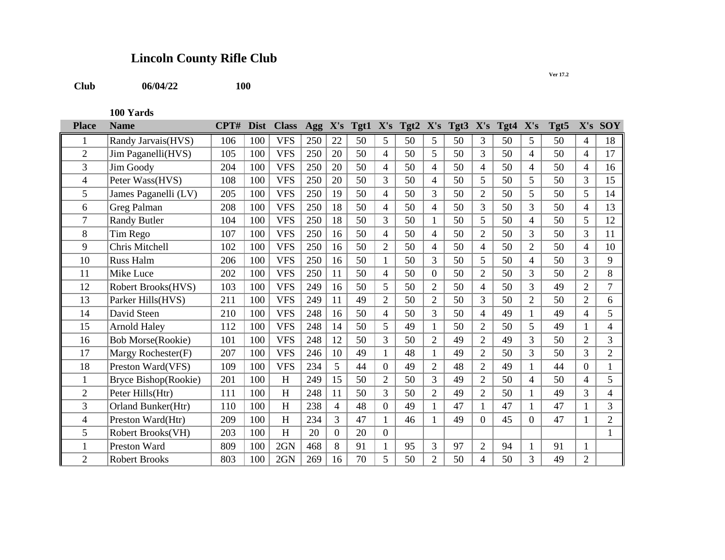## **Lincoln County Rifle Club**

**Club 06/04/22**

**100 Yards**

| <b>Place</b>   | <b>Name</b>               | CPT# | <b>Dist</b> | <b>Class</b> | Agg X's |                |    |                |    |                | Tgt1 X's Tgt2 X's Tgt3 X's |                | Tgt4 X's |                | Tgt5 | X's            | <b>SOY</b>     |
|----------------|---------------------------|------|-------------|--------------|---------|----------------|----|----------------|----|----------------|----------------------------|----------------|----------|----------------|------|----------------|----------------|
|                | Randy Jarvais(HVS)        | 106  | 100         | <b>VFS</b>   | 250     | 22             | 50 | 5              | 50 | 5              | 50                         | 3              | 50       | 5              | 50   | 4              | 18             |
| $\overline{2}$ | Jim Paganelli(HVS)        | 105  | 100         | <b>VFS</b>   | 250     | 20             | 50 | 4              | 50 | 5              | 50                         | $\overline{3}$ | 50       | 4              | 50   | 4              | 17             |
| 3              | Jim Goody                 | 204  | 100         | <b>VFS</b>   | 250     | 20             | 50 | 4              | 50 | 4              | 50                         | $\overline{4}$ | 50       | 4              | 50   | 4              | 16             |
| 4              | Peter Wass(HVS)           | 108  | 100         | <b>VFS</b>   | 250     | 20             | 50 | 3              | 50 | 4              | 50                         | 5              | 50       | 5              | 50   | 3              | 15             |
| 5              | James Paganelli (LV)      | 205  | 100         | <b>VFS</b>   | 250     | 19             | 50 | 4              | 50 | 3              | 50                         | $\overline{2}$ | 50       | 5              | 50   | 5              | 14             |
| 6              | Greg Palman               | 208  | 100         | <b>VFS</b>   | 250     | 18             | 50 | 4              | 50 | 4              | 50                         | 3              | 50       | 3              | 50   | 4              | 13             |
| 7              | <b>Randy Butler</b>       | 104  | 100         | <b>VFS</b>   | 250     | 18             | 50 | 3              | 50 |                | 50                         | 5              | 50       | 4              | 50   | 5              | 12             |
| 8              | Tim Rego                  | 107  | 100         | <b>VFS</b>   | 250     | 16             | 50 | 4              | 50 | 4              | 50                         | $\overline{2}$ | 50       | 3              | 50   | 3              | 11             |
| 9              | Chris Mitchell            | 102  | 100         | <b>VFS</b>   | 250     | 16             | 50 | $\overline{2}$ | 50 | 4              | 50                         | $\overline{4}$ | 50       | $\overline{2}$ | 50   | 4              | 10             |
| 10             | Russ Halm                 | 206  | 100         | <b>VFS</b>   | 250     | 16             | 50 |                | 50 | 3              | 50                         | 5              | 50       | $\overline{4}$ | 50   | 3              | 9              |
| 11             | Mike Luce                 | 202  | 100         | <b>VFS</b>   | 250     | 11             | 50 | $\overline{4}$ | 50 | $\Omega$       | 50                         | $\overline{2}$ | 50       | 3              | 50   | $\overline{2}$ | 8              |
| 12             | <b>Robert Brooks(HVS)</b> | 103  | 100         | <b>VFS</b>   | 249     | 16             | 50 | 5              | 50 | $\overline{2}$ | 50                         | $\overline{4}$ | 50       | 3              | 49   | $\overline{2}$ | $\overline{7}$ |
| 13             | Parker Hills(HVS)         | 211  | 100         | <b>VFS</b>   | 249     | 11             | 49 | $\overline{2}$ | 50 | $\overline{2}$ | 50                         | 3              | 50       | $\overline{2}$ | 50   | $\overline{2}$ | 6              |
| 14             | David Steen               | 210  | 100         | <b>VFS</b>   | 248     | 16             | 50 | 4              | 50 | 3              | 50                         | $\overline{4}$ | 49       | 1              | 49   | 4              | 5              |
| 15             | <b>Arnold Haley</b>       | 112  | 100         | <b>VFS</b>   | 248     | 14             | 50 | 5              | 49 |                | 50                         | $\overline{2}$ | 50       | 5              | 49   |                | 4              |
| 16             | <b>Bob Morse(Rookie)</b>  | 101  | 100         | <b>VFS</b>   | 248     | 12             | 50 | 3              | 50 | $\overline{2}$ | 49                         | $\overline{2}$ | 49       | 3              | 50   | $\overline{2}$ | 3              |
| 17             | Margy Rochester(F)        | 207  | 100         | <b>VFS</b>   | 246     | 10             | 49 |                | 48 |                | 49                         | $\overline{2}$ | 50       | 3              | 50   | 3              | $\overline{2}$ |
| 18             | Preston Ward(VFS)         | 109  | 100         | <b>VFS</b>   | 234     | 5              | 44 | $\overline{0}$ | 49 | $\overline{2}$ | 48                         | $\overline{2}$ | 49       |                | 44   | 0              |                |
| 1              | Bryce Bishop(Rookie)      | 201  | 100         | H            | 249     | 15             | 50 | $\overline{2}$ | 50 | 3              | 49                         | $\overline{2}$ | 50       | $\overline{4}$ | 50   | 4              | 5              |
| $\overline{2}$ | Peter Hills(Htr)          | 111  | 100         | H            | 248     | 11             | 50 | 3              | 50 | $\overline{2}$ | 49                         | $\overline{2}$ | 50       | $\mathbf{1}$   | 49   | 3              | 4              |
| 3              | Orland Bunker(Htr)        | 110  | 100         | H            | 238     | $\overline{4}$ | 48 | $\overline{0}$ | 49 |                | 47                         |                | 47       |                | 47   |                | 3              |
| 4              | Preston Ward(Htr)         | 209  | 100         | H            | 234     | 3              | 47 | $\mathbf{1}$   | 46 |                | 49                         | $\overline{0}$ | 45       | $\overline{0}$ | 47   |                | $\overline{2}$ |
| 5              | Robert Brooks(VH)         | 203  | 100         | H            | 20      | $\Omega$       | 20 | $\Omega$       |    |                |                            |                |          |                |      |                |                |
|                | Preston Ward              | 809  | 100         | 2GN          | 468     | 8              | 91 |                | 95 | 3              | 97                         | $\overline{2}$ | 94       | 1              | 91   |                |                |
| $\overline{2}$ | <b>Robert Brooks</b>      | 803  | 100         | 2GN          | 269     | 16             | 70 | 5              | 50 | $\overline{2}$ | 50                         | 4              | 50       | 3              | 49   | $\overline{2}$ |                |